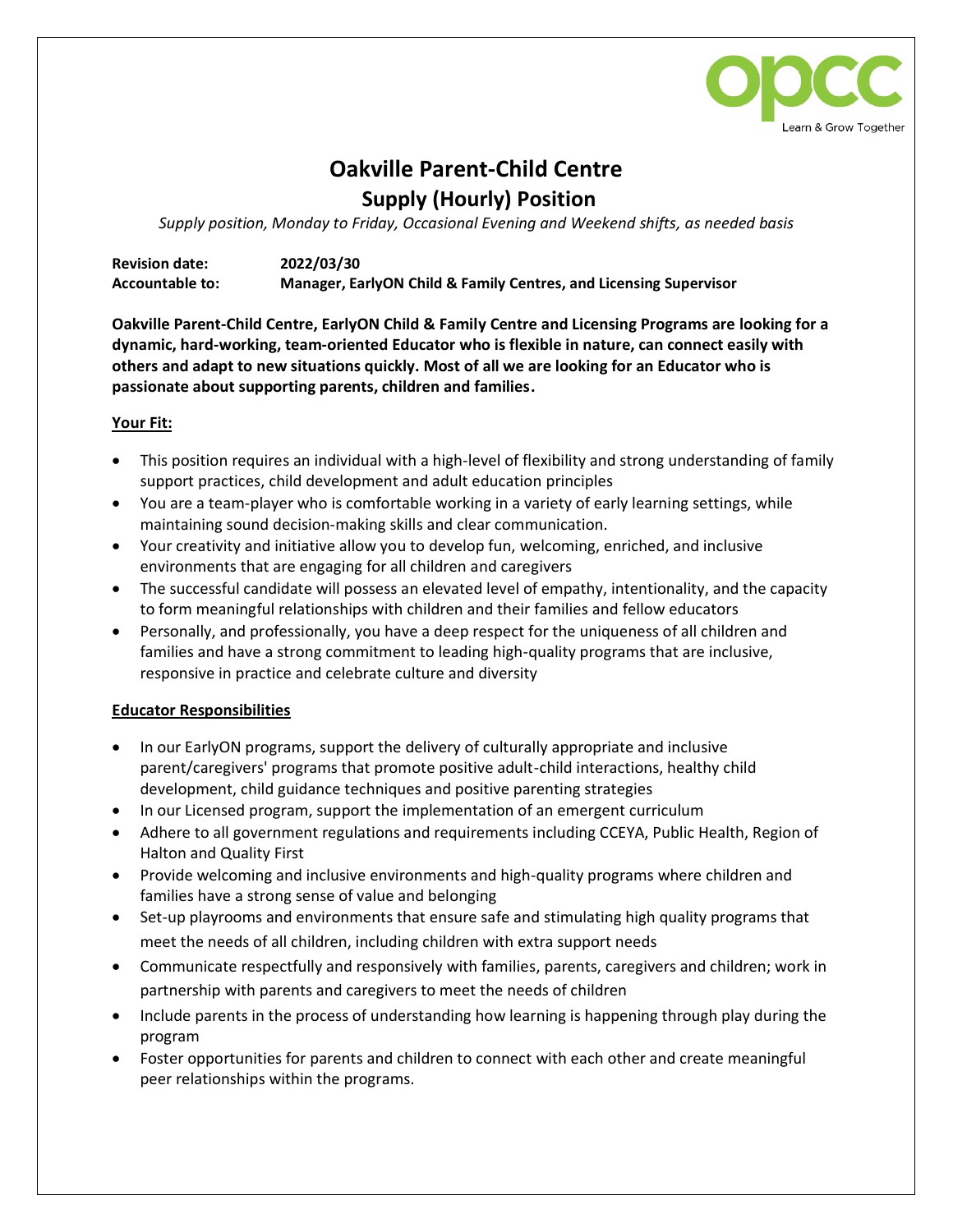

## **Oakville Parent-Child Centre Supply (Hourly) Position**

*Supply position, Monday to Friday, Occasional Evening and Weekend shifts, as needed basis*

**Revision date: 2022/03/30 Accountable to: Manager, EarlyON Child & Family Centres, and Licensing Supervisor**

**Oakville Parent-Child Centre, EarlyON Child & Family Centre and Licensing Programs are looking for a dynamic, hard-working, team-oriented Educator who is flexible in nature, can connect easily with others and adapt to new situations quickly. Most of all we are looking for an Educator who is passionate about supporting parents, children and families.** 

## **Your Fit:**

- This position requires an individual with a high-level of flexibility and strong understanding of family support practices, child development and adult education principles
- You are a team-player who is comfortable working in a variety of early learning settings, while maintaining sound decision-making skills and clear communication.
- Your creativity and initiative allow you to develop fun, welcoming, enriched, and inclusive environments that are engaging for all children and caregivers
- The successful candidate will possess an elevated level of empathy, intentionality, and the capacity to form meaningful relationships with children and their families and fellow educators
- Personally, and professionally, you have a deep respect for the uniqueness of all children and families and have a strong commitment to leading high-quality programs that are inclusive, responsive in practice and celebrate culture and diversity

## **Educator Responsibilities**

- In our EarlyON programs, support the delivery of culturally appropriate and inclusive parent/caregivers' programs that promote positive adult-child interactions, healthy child development, child guidance techniques and positive parenting strategies
- In our Licensed program, support the implementation of an emergent curriculum
- Adhere to all government regulations and requirements including CCEYA, Public Health, Region of Halton and Quality First
- Provide welcoming and inclusive environments and high-quality programs where children and families have a strong sense of value and belonging
- Set-up playrooms and environments that ensure safe and stimulating high quality programs that meet the needs of all children, including children with extra support needs
- Communicate respectfully and responsively with families, parents, caregivers and children; work in partnership with parents and caregivers to meet the needs of children
- Include parents in the process of understanding how learning is happening through play during the program
- Foster opportunities for parents and children to connect with each other and create meaningful peer relationships within the programs.